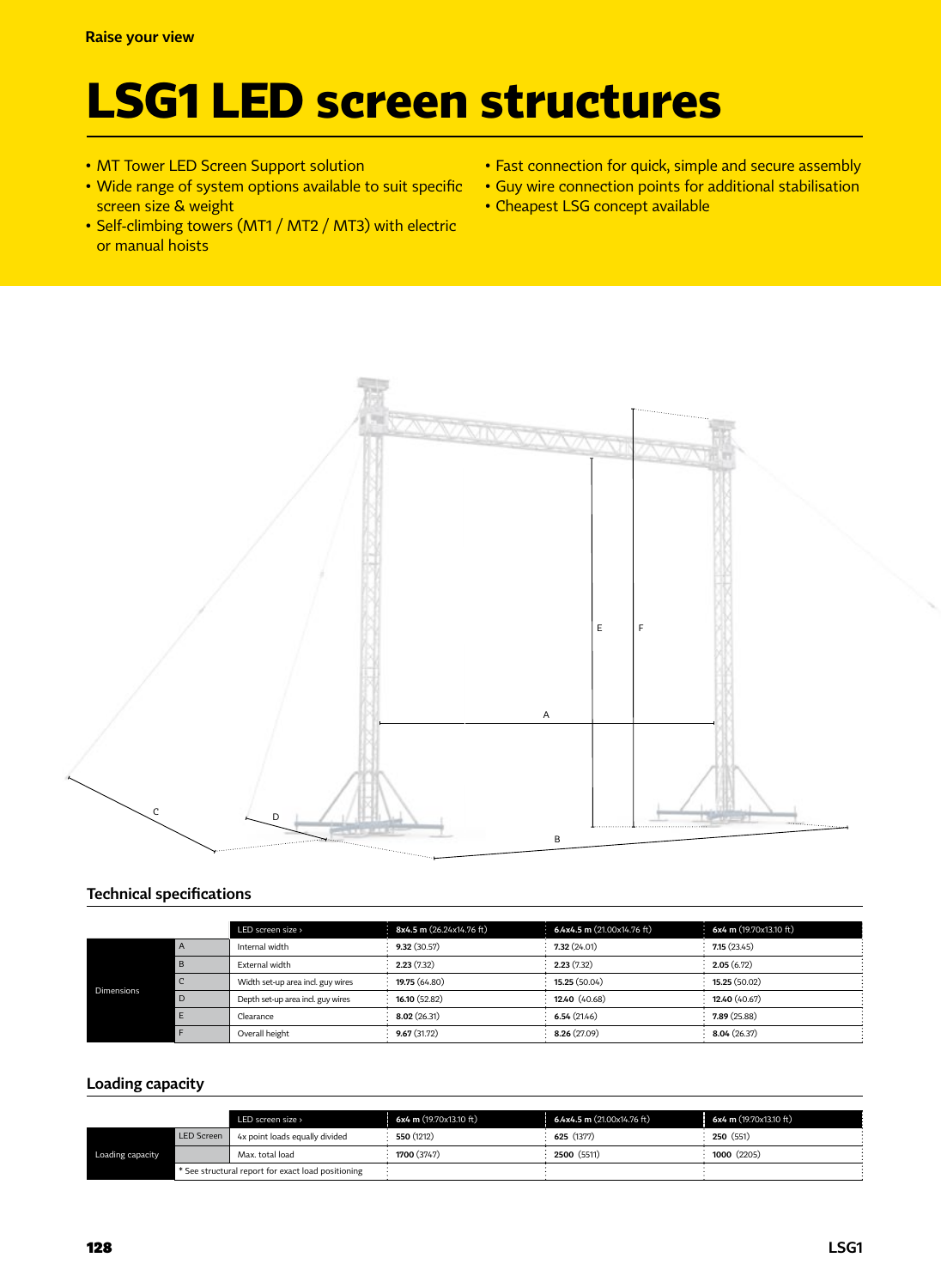# **LSG1 LED screen structures**

- MT Tower LED Screen Support solution
- Wide range of system options available to suit specific screen size & weight
- Self-climbing towers (MT1 / MT2 / MT3) with electric or manual hoists
- Fast connection for quick, simple and secure assembly
- Guy wire connection points for additional stabilisation
- Cheapest LSG concept available



#### **Technical specifications**

|            |              | LED screen size >                 | 8x4.5 m (26.24x14.76 ft) | 6.4x4.5 m (21.00x14.76 ft) | 6x4 m (19.70x13.10 ft) |
|------------|--------------|-----------------------------------|--------------------------|----------------------------|------------------------|
| Dimensions | $\mathsf{A}$ | Internal width                    | 9.32(30.57)              | 7.32(24.01)                | 7.15(23.45)            |
|            | B            | External width                    | 2.23(7.32)               | 2.23(7.32)                 | 2.05(6.72)             |
|            |              | Width set-up area incl. guy wires | 19.75 (64.80)            | 15.25 (50.04)              | 15.25 (50.02)          |
|            | D            | Depth set-up area incl. guy wires | 16.10(52.82)             | 12.40 (40.68)              | 12.40 (40.67)          |
|            |              | Clearance                         | 8.02(26.31)              | 6.54(21.46)                | 7.89(25.88)            |
|            |              | Overall height                    | 9.67(31.72)              | 8.26 (27.09)               | 8.04(26.37)            |

#### **Loading capacity**

|                  |                                                    | LED screen size >              | 6x4 m (19.70x13.10 ft) | 6.4x4.5 m (21.00x14.76 ft) | 6x4 m (19.70x13.10 ft) |
|------------------|----------------------------------------------------|--------------------------------|------------------------|----------------------------|------------------------|
| Loading capacity | <b>LED Screen</b>                                  | 4x point loads equally divided | 550 (1212)             | 625 (1377)                 | 250(551)               |
|                  |                                                    | Max. total load                | 1700 (3747)            | 2500 (5511)                | 1000 (2205)            |
|                  | * See structural report for exact load positioning |                                |                        |                            |                        |